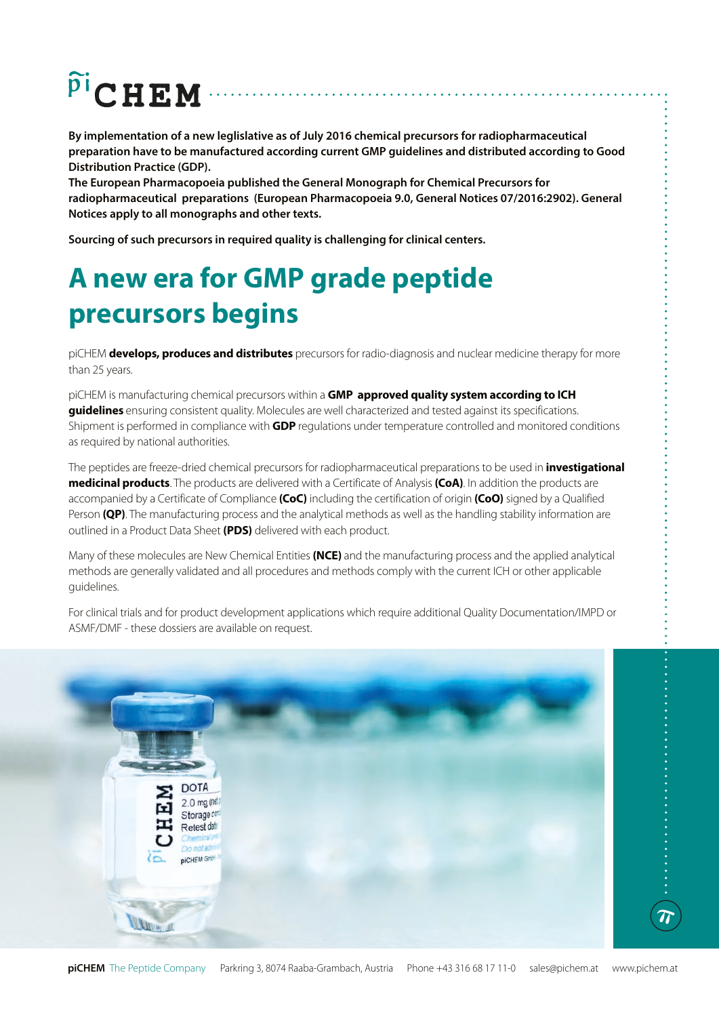# $\widetilde{P}^{\text{I}}$ CHEM

**By implementation of a new leglislative as of July 2016 chemical precursors for radiopharmaceutical preparation have to be manufactured according current GMP guidelines and distributed according to Good Distribution Practice (GDP).**

**The European Pharmacopoeia published the General Monograph for Chemical Precursors for radiopharmaceutical preparations (European Pharmacopoeia 9.0, General Notices 07/2016:2902). General Notices apply to all monographs and other texts.**

**Sourcing of such precursors in required quality is challenging for clinical centers.**

### **A new era for GMP grade peptide precursors begins**

piCHEM **develops, produces and distributes** precursors for radio-diagnosis and nuclear medicine therapy for more than 25 years.

piCHEM is manufacturing chemical precursors within a **GMP approved quality system according to ICH guidelines** ensuring consistent quality. Molecules are well characterized and tested against its specifications. Shipment is performed in compliance with **GDP** regulations under temperature controlled and monitored conditions as required by national authorities.

The peptides are freeze-dried chemical precursors for radiopharmaceutical preparations to be used in **investigational medicinal products**. The products are delivered with a Certificate of Analysis **(CoA)**. In addition the products are accompanied by a Certificate of Compliance **(CoC)** including the certification of origin **(CoO)** signed by a Qualified Person **(QP)**. The manufacturing process and the analytical methods as well as the handling stability information are outlined in a Product Data Sheet **(PDS)** delivered with each product.

Many of these molecules are New Chemical Entities **(NCE)** and the manufacturing process and the applied analytical methods are generally validated and all procedures and methods comply with the current ICH or other applicable guidelines.

For clinical trials and for product development applications which require additional Quality Documentation/IMPD or ASMF/DMF - these dossiers are available on request.